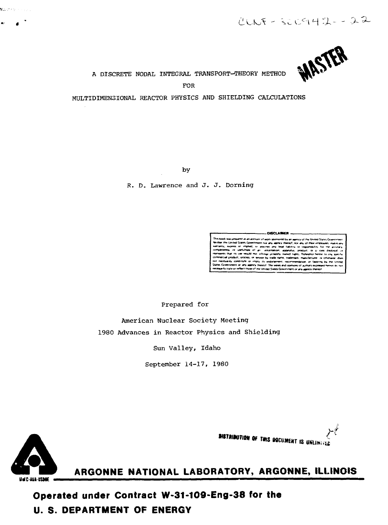$CUNF - SCCH42 - 22$ 



# A DISCRETE NODAL INTEGRAL TRANSPORT-THEORY METHOD

FOR

MULTIDIMENSIONAL REACTOR PHYSICS AND SHIELDING CALCULATIONS

by

R. D. Lawrence and J. J. Doming

**DISCLAIMER** 

his book was pres **>un? of wok wnuini)v»> 4 pred by an assure of the United States Go Neitfm Iff, UnUwJ Srwn Gowt** iment rux any agency thereof, nor any of their employees inalies an<br>tw assumes any legal faibility or regionsibility for the accoracy **•MT'OTIV. eipnsc or implied. ciirnpleitncu n uvfclncn o raunagnw (rut -11 IIW wuh) n +\*'. tle4«Tenv r«rew I D ,jn» a»rt'« (3>mmercMl c\*Odut1, vocen. «• «O« r by trxte nimt. iratfwi i« ;\* ort#rwnr dan m l necttaVtlv omtitu^e or ir ntJti ill «TdW\*f"\*tit r«o>mr rwndiation. or flavoring by the United** thereof. The wews and continues of authors excel **V** Thereul The <del>views a</del>nd opinions of authors is<br><sup>4</sup> the United Suites Gowiniment or any agency if **p w o •\*»»\*» \*> >vi>**

Prepared for

American Nuclear Society Meeting 1980 Advances in Reactor Physics and Shielding

Sun Valley, Idaho

September 14-17, 1980

**DISTRIBUTION OF THIS DOCUMENT IS UNLIMITED** 



.<br>Manazarta menderi

ARGONNE NATIONAL LABORATORY, ARGONNE, ILLINOIS

**Operated under Contract W-31-109-Eng-38 for the U. S. DEPARTMENT OF ENERGY**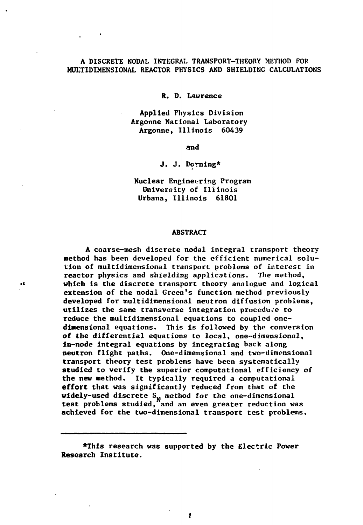# A DISCRETE NODAL INTEGRAL TRANSPORT-THEORY METHOD FOR MULTIDIMENSIONAL REACTOR PHYSICS AND SHIELDING CALCULATIONS

R. D. Lawrence

Applied Physics Division Argonne National Laboratory Argonne, Illinois 60439

and

J. J. Doming\*

Nuclear Engineering Program University of Illinois Urbana, Illinois 61801

#### ABSTRACT

A coarse-mesh discrete nodal integral transport theory method has been developed for the efficient numerical solution of multidimensional transport problems of interest in reactor physics and shielding applications. The method, which is the discrete transport theory analogue and logical extension of the nodal Green's function method previously developed for multidimensional neutron diffusion problems, utilizes the same transverse integration procedure to reduce the multidimensional equations to coupled onedimensional equations. This is followed by the conversion of the differential equations to local, one-dimensional, ln-node integral equations by integrating back along **neutron** flight paths. One-dimensional and two-dimensional transport theory test problems have been systematically studied to verify the superior computational efficiency of the new method. It typically required a computational **effort** that was significantly reduced from that of the  $width$ -used discrete  $S_{\scriptscriptstyle{\rm M}}$  method for the one-dimensional test problems studied, and an even greater reduction was **achieved** for the two-dimensional transport test problems.

٩Ė

\*This research was supported by the Electric Power Research Institute.

1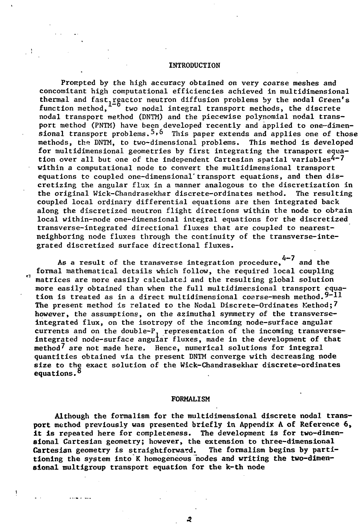# **INTRODUCTION**

Prompted by the high accuracy obtained on very coarse meshes and concomitant high computational efficiencies achieved in multidimensional thermal and fast reactor neutron diffusion problems by the nodal Green's<br>function method.<sup>1-0</sup> two nodal integral transport methods, the discrete two nodal integral transport methods, the discrete nodal transport method (DNTM) and the piecewise polynomial nodal transport method (PNTM) have been developed recently and applied to one-dimensional transport problems.<sup>5,6</sup> This paper extends and applies one of those methods, the DNTM, to two-dimensional problems. This method is developed for multidimensional geometries by first integrating the transport equation over all but one of the independent Cartesian spatial variables $4-7$ within a computational node to convert the multidimensional transport equations to coupled one-dimensional'transport equations, and then discretizing the angular flux in a manner analogous to the discretization in the original Wick-Chandrasekhar discrete-ordinates method. The resulting coupled local ordinary differential equations are then integrated back along the discretized neutron flight directions within the node to obtain local within-node one-dimensional integral equations for the discretized transverse-integrated directional fluxes that are coupled to nearestneighboring node fluxes through the continuity of the transverse-integrated discretized surface directional fluxes.

As a result of the transverse integration procedure,  $4-7$  and the formal mathematical details which follow, the required local coupling matrices are more easily calculated and the resulting global solution more easily obtained than when the full multidimensional transport equation is treated as in a direct multidimensional coarse-mesh method.<sup>9-11</sup> The present method is related to the Nodal Discrete-Ordinates Method;  $7$ however, the assumptions, on the azimuthal symmetry of the transverseintegrated flux, on the isotropy of the incoming node-surface angular currents and on the double-P, representation of the incoming transverseintegrated node-surface angular fluxes, made in the development **of that method?** are not made here. Hence, numerical solutions for integral quantities obtained via the present DNTM converge with decreasing node size to the exact solution of the Wick-Chandrasekhar **discrete-ordinates equations. \*\***

 $\bullet$ 

# **FORMALISM**

**Although the formalism for the multidimensional discrete nodal transport method previously was presented briefly in Appendix A of Reference 6, it is repeated here for completeness. The development is for two-dimensional Cartesian geometry; however, the extension to three-dimensional Cartesian geometry is straightforward. The formalism begins by partitioning the system into K** homogeneous **nodes and writing the two-dimensional multigroup transport equation for the k-th node**

2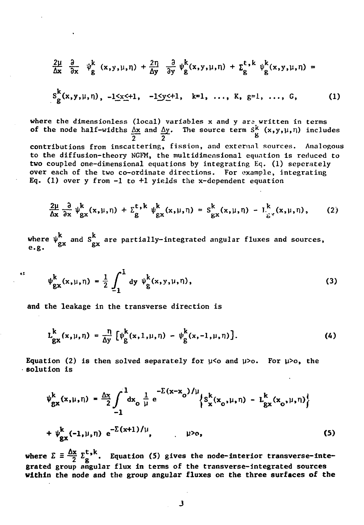$$
\frac{2\mu}{\Delta x} \frac{\partial}{\partial x} \psi_{g}^{k} (x, y, \mu, \eta) + \frac{2\eta}{\Delta y} \frac{\partial}{\partial y} \psi_{g}^{k} (x, y, \mu, \eta) + \Sigma_{g}^{t, k} \psi_{g}^{k} (x, y, \mu, \eta) =
$$
  

$$
S_{g}^{k} (x, y, \mu, \eta), -1 \leq x \leq +1, -1 \leq y \leq +1, k=1, ..., K, g=1, ..., G,
$$
 (1)

where the dimensionless (local) variables x and y ara written in terms **of the node half-widths**  $\Delta x$  **and**  $\Delta y$ **. The source term**  $S_N^k$  **(x,y,u,n) includes**  $2$  2<sup>8</sup> contributions from inscattering, fission, and external sources. Analogous **to** the diffusion-theory NGFM, the multidimensional equation is reduced to **two** coupled one-dimensional equations by integrating Eq. (1) sepcrately **over** each of the two co-ordinate directions. For example, integrating Eq. (1) over y from  $-1$  to  $+1$  yields the x-dependent equation

$$
\frac{2\mu}{\Delta x} \frac{\partial}{\partial x} \psi^{k}_{gx}(x,\mu,\eta) + \Sigma^{t,k}_{g} \psi^{k}_{gx}(x,\mu,\eta) = S^{k}_{gx}(x,\mu,\eta) - L^{k}_{g'}(x,\mu,\eta), \qquad (2)
$$

where  $\psi_{\text{av}}^{\text{k}}$  and  $S_{\text{av}}^{\text{k}}$  are partially-integrated angular fluxes and sources, e.g.

$$
\psi_{\mathbf{g}\mathbf{x}}^{k}(\mathbf{x},\mu,\eta) = \frac{1}{2} \int_{1}^{1} dy \; \psi_{\mathbf{g}}^{k}(\mathbf{x},\mathbf{y},\mu,\eta), \qquad (3)
$$

**and the leakage in the transverse direction is**

¢ž

$$
L_{gx}^{k}(x,\mu,\eta) = \frac{\eta}{\Delta y} \left[ \psi_{g}^{k}(x,1,\mu,\eta) - \psi_{g}^{k}(x,-1,\mu,\eta) \right]. \tag{4}
$$

Equation (2) is then solved separately for u<o and u>o. For u>o, the **solution is**

$$
\psi_{gx}^{k}(x,\mu,\eta) = \frac{\Delta x}{2} \int_{-1}^{1} dx_{o} \frac{1}{\mu} e^{-\sum (x-x_{o})/\mu} \left\{ S_{x}^{k}(x_{o},\mu,\eta) - L_{gx}^{k}(x_{o},\mu,\eta) \right\} + \psi_{gx}^{k}(-1,\mu,\eta) e^{-\sum (x+1)/\mu}, \qquad \mu > 0,
$$
\n(5)

where  $\Sigma = \frac{\Delta x}{2} \Sigma_g^{t,k}$ . Equation (5) gives the node-interior transverse-inte**grated group angular flux in terms of the transverse-integrated sources** within the node and the group angular fluxes on the three surfaces of the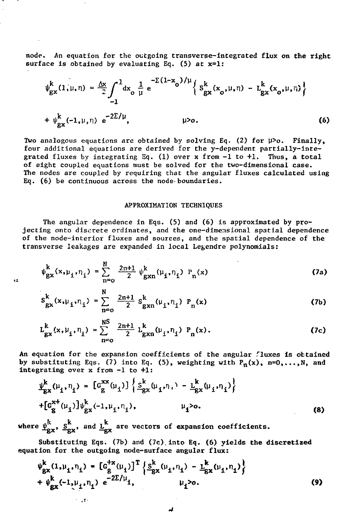node. An equation for the outgoing transverse-integrated flux **on the** right surface is obtained by evaluating Eq.  $(5)$  at  $x=1$ :

$$
\psi_{gx}^{k}(1, \mu, \eta) = \frac{\Delta x}{2} \int_{-1}^{1} dx_{o} \frac{1}{\mu} e^{-\sum (1 - x_{o})/\mu} \left\{ S_{gx}^{k}(x_{o}, \mu, \eta) - L_{gx}^{k}(x_{o}, \mu, \eta) \right\} + \psi_{gx}^{k}(-1, \mu, \eta) e^{-2\sum (\mu, \eta)} \quad \mu > 0.
$$
 (6)

Iwo analogous equations are obtained by solving Eq. (2) for  $\mu > o$ . Finally, four additional equations are derived for the y-dependent partially-integrated fluxes by integrating Sq. (1) over x from -1 to +1. Thus, a total of eight coupled equations must be solved for the two-dimensional case. The nodes are coupled by requiring that the angular fluxes calculated using Eq. (6) be continuous across the node-boundaries.

# APPROXIMATION TECHNIQUES

The angular dependence in Eqs. (5) and (6) is approximated by projecting onto discrete ordinates, and the one-dimensional spatial dependence of the node-interior fluxes and sources, and the spatial dependence of the transverse leakages are expanded in local Legendre polynomials:

$$
\psi_{\rm gx}^{k}(x, \mu_{\rm i}, n_{\rm i}) = \sum_{n=0}^{N} \frac{2n+1}{2} \psi_{\rm gxn}^{k}(\mu_{\rm i}, n_{\rm i}) P_{n}(x)
$$
 (7a)

$$
s_{gx}^{k}(x,\mu_{i},\eta_{i}) = \sum_{n=0}^{N} \frac{2n+1}{2} s_{gxn}^{k}(\mu_{i},\eta_{i}) P_{n}(x)
$$
 (7b)

$$
L_{gx}^{k}(x, \mu_{i}, \eta_{i}) = \sum_{n=0}^{NS} \frac{2n+1}{2} L_{gxn}^{k}(\mu_{i}, \eta_{i}) P_{n}(x).
$$
 (7c)

An equation for the expansion coefficients of the angular fluxes is obtained by substituting Eqs. (7) into Eq. (5), weighting with  $P_n(x)$ , n=0,...,N, and integrating over x from -1 to +1:

$$
\psi_{\rm gx}^{k}(\mu_{1},\eta_{1}) = \left[ G_{\rm g}^{XX}(\mu_{1}) \right] \left\{ S_{\rm gx}^{k}(\mu_{1},\eta_{1}) - L_{\rm gx}^{k}(\mu_{1},\eta_{1}) \right\} + \left[ G_{\rm g}^{X^{+}}(\mu_{1}) \right] \psi_{\rm gx}^{k}(-1,\mu_{1},\eta_{1}), \qquad \mu_{1} > 0.
$$
\n(8)

where  $\psi_{\mathbf{gx}}^{\mathbf{k}}$ ,  $\frac{\mathbf{s}_{\mathbf{gx}}^{\mathbf{k}}}{\mathbf{s}_{\mathbf{gx}}}$ , and  $\frac{\mathbf{k}}{\mathbf{gx}}$  are vectors of expansion coefficients.

 $\sim 100$ 

εż

**Substituting Eqs. (7b)** and **(7c).**into **Eq. (6) yields the discretized equation for** the **outgoing node-surface angular flux:**

$$
\psi_{gX}^{k}(1,\mu_{1},\eta_{1}) = \left[ G_{g}^{+X}(\mu_{1}) \right]^{T} \left\{ S_{gX}^{k}(\mu_{1},\eta_{1}) - \underline{L}_{gX}^{k}(\mu_{1},\eta_{1}) \right\} + \psi_{gX}^{k}(-1,\mu_{1},\eta_{1}) e^{-2\Sigma/\mu_{1}}, \qquad \mu_{1} > 0.
$$
 (9)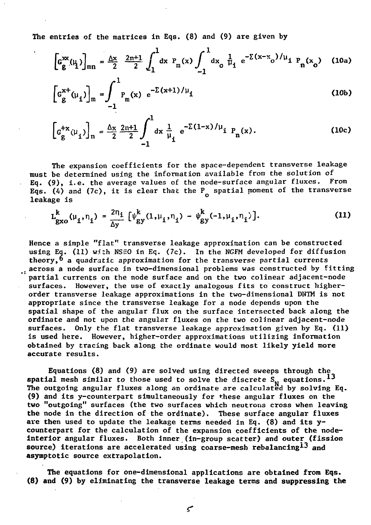The entries of the matrices in Eqs. (8) and (9) are given by

$$
\left[ c_{g}^{xx}(\mu_{1}) \right]_{mn} = \frac{\Delta x}{2} \frac{2n+1}{2} \int_{1}^{1} dx P_{m}(x) \int_{-1}^{1} dx_{0} \frac{1}{\mu_{1}} e^{-\Sigma (x-x_{0})/\mu_{1}} P_{n}(x_{0}) \quad (10a)
$$

$$
\left[ c_g^{x+}(\mu_i) \right]_m = \int_{-1}^{1} P_m(x) e^{-\sum (x+1)/\mu_i}
$$
 (10b)

$$
\left[c_{g}^{+x}(\mu_{i})\right]_{n} = \frac{\Delta x}{2} \frac{2n+1}{2} \int_{-1}^{1} dx \frac{1}{\mu_{i}} e^{-\Sigma(1-x)/\mu_{i}} P_{n}(x).
$$
 (10c)

The expansion coefficients for the space-dependent transverse leakage must be determined using the information available from the solution of Eq. (9), i.e. the average values of the node-surface angular fluxes. From Eqs. (4) and (7c), it is clear that the P<sub>o</sub> spatial moment of the transverse leakage is

$$
L_{\rm gxo}^{k}(\mu_{1},\eta_{1}) = \frac{2\eta_{1}}{\Delta y} \left[ \psi_{\rm gy}^{k}(1,\mu_{1},\eta_{1}) - \psi_{\rm gy}^{k}(-1,\mu_{1},\eta_{1}) \right]. \tag{11}
$$

Hence a simple "flat" transverse leakage approximation can be constructed using Eq. (11) with NS=O in Eq. (7c). In the NGFM developed for diffusion theory,  $6$  a quadratic approximation for the transverse partial currents , across a node surface in two-dimensional problems was constructed by fitting partial currents on the node surface and on the two colinear adjacent-node surfaces. However, the use of exactly analogous fits to construct higherorder transverse leakage approximations in the two-dimensional DNTM is not appropriate since the transverse leakage for a node depends upon the spatial shape of the angular flux on the surface intersected back along the ordinate and not upon the angular fluxes on the two colinear adjacent-node surfaces. Only the flat transverse leakage approximation given by Eq. (11) is used here. However, higher-order approximations utilizing information obtained by tracing back along the ordinate would most likely yield more accurate results.

Equations (8) and (9) are solved using directed sweeps through the spatial mesh similar to those used to solve the discrete  $S_N$  equations.<sup>13</sup> The outgoing angular fluxes along an ordinate are calculated by solving Eq. (9) and its y-counterpart simultaneously for these angular fluxes on the two "outgoing" surfaces (the two surfaces which neutrons cross when leaving the node in the direction of the ordinate). These surface angular fluxes are then used to update the leakage terms needed in Eq. (8) and its  $y$ counterpart for the calculation of the expansion coefficients of the nodeinterior angular fluxes. Both inner (in-group scatter) and outer (fission source) iterations are accelerated using coarse-mesh rebalancing<sup>13</sup> and asymptotic source extrapolation.

**The** equations for one-dimensional applications are obtained from Eqs. (8) **and** (9) by eliminating the transverse leakage terms **and suppressing the**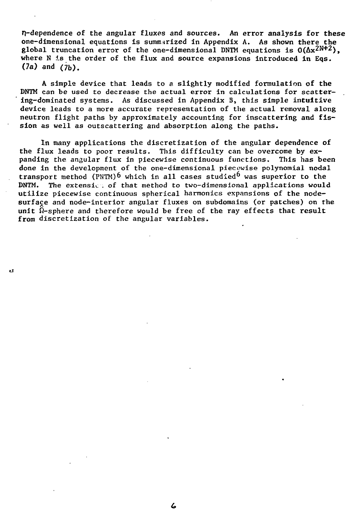H-dependence of the angular fluxes and sources. An error analysis for these one-dimensional equations is summarized in Appendix A. As shown there the global truncation error of the one-dimensional DNTM equations is  $O(\Delta x^{2N+2})$ , where N is the order of the flux and source expansions introduced in Eqs.  $(7a)$  and  $(7b)$ .

A simple device that leads to a slightly modified formulation of the DNTM can be used to decrease the actual error in calculations for scattering-dominated systems. As discussed in Appendix B, this simple intuitive device leads to a more accurate representation of the actual removal along neutron flight paths by approximately accounting for inscattering and fission as well as outscattering and absorption along the paths.

In many applications the discretization of the angular dependence of the flux leads to poor results. This difficulty can be overcome by expanding the angular flux in piecewise continuous functions. This has been done in the development of the one-dimensional piecuwise polynomial nodal transport method (PNTM)<sup>6</sup> which in all cases studied<sup>6</sup> was superior to the DNTM. The extensic . of that method to two-dimensional applications would utilize piecewise continuous spherical harmonics expansions of the nodesurface and node-interior angular fluxes on subdomains (or patches) on the unit  $\hat{\Omega}$ -sphere and therefore would be free of the ray effects that result from discretization of the angular variables.

 $\mathbf{r}$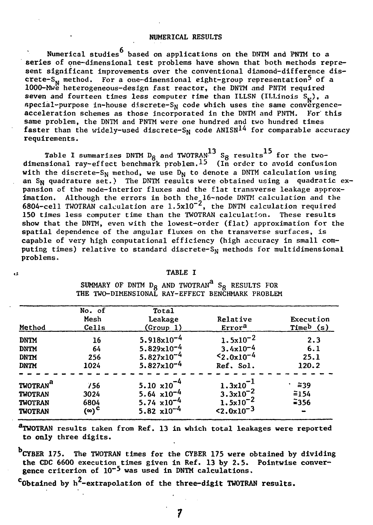#### **NUMERICAL RESULTS**

Numerical studies<sup>6</sup> based on applications on the DNTM and PNTM to a series of one-dimensional test problems have shown that both methods represent significant improvements over the conventional diamond-difference discrete-S<sub>M</sub> method. For a one-dimensional eight-group representation<sup>5</sup> of a  $1000\texttt{-}$ Mwe heterogeneous-design fast reactor, the DNTM and PNTM required seven and fourteen times less computer time than ILLSN (ILLinois  $S_N$ ), a special-purpose in-house discrete-S<sub>N</sub> code which uses the same convergenceacceleration schemes as those incorporated in the DNTM and PNTM. For' this same problem, the DNTM and PNTM were one hundred and two hundred times faster than the widely-used discrete- $S_N$  code ANISN<sup>14</sup> for comparable accuracy requirements.

 $13$  c require  $15$  $T_{\text{S}}$  is  $T_{\text{max}}$  summarized benchmark problem  $\frac{15}{10}$  (In order to avoid confusi with the discrete-S<sub>N</sub> method, we use  $D_N$  to denote a DNTM calculation using an  $S_N$  quadrature set.) The DNTM results were obtained using a quadratic expansion of the node-interior fluxes and the flat transverse leakage approx $p_{\text{max}}$  of the node-interior fluxes and the node-interior fluxes and the fluxes and the fluxes approximation  $\hat{A}$  the fluxes and the fluxes and the fluxes and the fluxes and the fluxes and the fluxes and the fluxes a  $\frac{1}{2}$  imation. Although the errors in both the  $16-2$  the DNTM calculation required 150 times less computer time than the TWOTRAN calculation. These results show that the DNTM, even with the lowest-order (flat) approximation for the spatial dependence of the angular fluxes on the transverse surfaces, is capable of very high computational efficiency (high accuracy in small com- $\frac{1}{2}$  capable of very high computational efficiency (high accuracy in small computing times) relative to standard discrete-Sjq methods for multidimensional problems.

#### TABLE I

x2

|                            | No. of<br>Mesh   | Total<br>Leakage       | Relative            | Execution<br>Time <sup>b</sup> (s) |
|----------------------------|------------------|------------------------|---------------------|------------------------------------|
| Method                     | Cells            | (Group 1)              | Error <sup>a</sup>  |                                    |
| <b>DNTM</b>                | 16               | $5.918 \times 10^{-4}$ | $1.5x10^{-2}$       | 2.3                                |
| <b>DNTM</b>                | 64               | $5.829 \times 10^{-4}$ | $3.4x10^{-4}$       | 6.1                                |
| <b>DNTM</b>                | 256              | $5.827 \times 10^{-4}$ | ${}^{5}2.0x10^{-4}$ | 25.1                               |
| <b>DNTM</b>                | 1024             | $5.827 \times 10^{-4}$ | Ref. Sol.           | 120.2                              |
| <b>TWOTRAN<sup>2</sup></b> | 756              | $5.10 \times 10^{-7}$  | 1.3x10              | $\approx 39$                       |
| <b>TWOTRAN</b>             | 3024             | $5.64 \times 10^{-4}$  | $3.3x10^{-2}$       | $\approx 154$                      |
| <b>TWOTRAN</b>             | 6804             | $5.74 \times 10^{-4}$  | $1.5x10^{-2}$       | $\tilde{=}356$                     |
| <b>TWOTRAN</b>             | (∞) <sup>C</sup> | $5.82 \times 10^{-4}$  | $2.0x10^{-3}$       |                                    |

SUMMARY OF DNTM  $D_8$  and two ran<sup>a</sup> S<sub>8</sub> RESULTS FOR THE TWO-DIMENSIONAL RAY-EFFECT BENCHMARK PROBLEM

<sup>a</sup>TWOTRAN results taken from Ref. 13 in which total leakages were reported to only three digits.

**b**CYBER 175. The TWOTRAN times for the CYBER 175 were obtained by dividing the CDC 6600 execution\_times given in Ref. 13 by 2.5. Pointwise convergence criterion of 10<sup>-5</sup> was used in DNTM calculations.

 $c_{\alpha_{\text{h}} + \alpha_{\text{t}} + \alpha_{\text{t}} + \alpha_{\text{t}} + \alpha_{\text{t}} + \alpha_{\text{t}} + \alpha_{\text{t}} + \alpha_{\text{t}} + \alpha_{\text{t}} + \alpha_{\text{t}} + \alpha_{\text{t}} + \alpha_{\text{t}} + \alpha_{\text{t}} + \alpha_{\text{t}} + \alpha_{\text{t}} + \alpha_{\text{t}} + \alpha_{\text{t}} + \alpha_{\text{t}} + \alpha_{\text{t}} + \alpha_{\text{t}} + \alpha_{\text{t}} + \alpha_{\text{t}} + \alpha_{\text{t}} + \alpha_{\text{t}} + \alpha$ **Obtained by h -extrapolation of the three-digit TWOTRAN results.**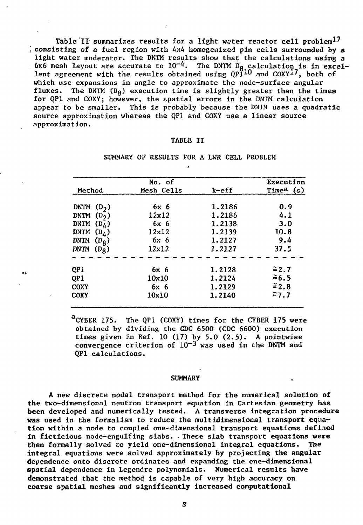Table II summarizes results for a light water reactor cell problem<sup>17</sup> consisting of a fuel region with 4x4 homogenized pin cells surrounded by a light water moderator. The DNTM results show that the calculations using a 6x6 mesh layout are accurate to  $10^{-4}$ . The DNTM D<sub>g </sub>calculation is in excellent agreement with the results obtained using  $\mathrm{QP}\check{1}^{\mathrm{10}}$  and  $\mathrm{COXY}^{\mathrm{17}},$  both of which use expansions in angle to approximate the node-surface angular fluxes. The DNTM  $(D_R)$  execution time is slightly greater than the times for QPI and COXY; however, the spatial errors in the DNTM calculation appear to be smaller. This is probably because the DNTM uses a quadratic source approximation whereas the QPI and COXY use a linear source approximation.

## TABLE II

|            |         | Execution             |
|------------|---------|-----------------------|
| Mesh Cells | k-eff   | Time <sup>a</sup> (s) |
| 6x 6       | 1.2186  | 0.9                   |
| 12x12      | 1.2186  | 4.1                   |
| $6x\,6$    | 1.2138  | 3.0                   |
| 12x12      | 1.2139  | 10.8                  |
| $6x\,6$    | 1.2127  | 9.4                   |
| 12x12      | 1.2127  | 37.5                  |
|            |         | $\tilde{=}2.7$        |
| 10x10      | 1.2124  | $\tilde{=}6.5$        |
| $6x\,6$    |         | $\approx 2.8$         |
| 10x10      | 1.2140  | $z = 7.7$             |
|            | $6x\,6$ | 1.2128<br>1.2129      |

٩Š

# SUMMARY OF RESULTS FOR A LWR CELL PROBLEM

<sup>a</sup>CYBER 175. The QP1 (COXY) times for the CYBER 175 were obtained by dividing the CDC 6500 (CDC 6600) execution times given in Ref. 10 (17) by  $5.0$  (2.5). A pointwise convergence criterion of  $10^{-3}$  was used in the DNTM and QPI calculations.

## **SUMMARY**

A new discrete nodal transport method for the numerical solution of the two-dimensional neutron transport equation in Cartesian geometry has been developed and numerically tested. A transverse integration procedure was used in the formalism to reduce the multidimensional transport equation within a node to coupled one-dimensional transport equations defined in ficticious node-engulfing slabs. These slab transport equations were<br>then formally solved to vield one-dimensional integral equations. The then formally solved to yield one-dimensional integral equations. integral equations were solved approximately by projecting the angular dependence onto discrete ordinates and expanding the one-dimensional spatial dependence in Legendre polynomials. Numerical results have demonstrated that the method is capable of very high accuracy on coarse spatial meshes and significantly increased computational

S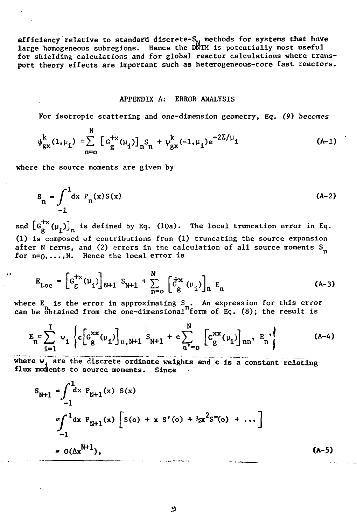efficiency relative to standard discrete-S<sub>N</sub> methods for systems that have large homogeneous subregions. Hence the DNTM is potentially most useful for shielding calculations and for global reactor calculations where transport theory effects are important such as heterogeneous-core fast reactors.

# APPENDIX A: ERROR ANALYSIS

For isotropic scattering and one-dimension geometry, Eq. (9) becomes

$$
\psi_{gx}^{k}(1,\mu_{i}) = \sum_{n=0}^{N} \left[ c_{g}^{+x}(\mu_{i}) \right]_{n} S_{n} + \psi_{gx}^{k}(-1,\mu_{i}) e^{-2\sum \mu_{i}} \tag{A-1}
$$

where the source moments are given by

 $\ddot{\phantom{a}}$ 

$$
S_n = \int_{-1}^{1} dx P_n(x) S(x)
$$
 (A-2)

and  $\left[\mathcal{G}_{g}^{+x}(\mu_{1})\right]_{n}$  is defined by Eq. (10a). The local truncation error in Eq. (1) is composed of contributions from (1) truncating the source expansion after N terms, and (2) errors in the calculation of all source moments  $S_n$ for  $n=0, \ldots, N$ . Hence the local error is

$$
E_{Loc} = \left[ G_g^{+x}(\mu_i) \right]_{N+1} S_{N+1} + \sum_{n=0}^{N} \left[ \dot{G}_g^{+x}(\mu_i) \right]_{n} E_n
$$
 (A-3)

where  $\mathbb{E}_{\underline{\hspace{1em}}}$  is the error in approximating  $\mathbb{S}_{\underline{\hspace{1em}}}$ . An expression for this error can be öbtained from the one-dimensional"form of Eq. (8); the result is

$$
E_{n} = \sum_{i=1}^{I} w_{i} \left\{ c \left[ G_{g}^{xx}(\mu_{i}) \right]_{n,N+1} S_{N+1} + c \sum_{n'=0}^{N} \left[ G_{g}^{xx}(\mu_{i}) \right]_{nn'} E_{n'} \right\}
$$
 (A-4)

where  $w^{}_{\scriptscriptstyle 4}$  are the discrete ordinate weights and c is a constant relating flux moments to source moments. Since

$$
S_{N+1} = \int_{-1}^{1} dx P_{N+1}(x) S(x)
$$
  
\n
$$
= \int_{-1}^{1} dx P_{N+1}(x) \left[ S(0) + x S'(0) + \frac{1}{2}x^{2} S''(0) + \dots \right]
$$
  
\n
$$
= O(\Delta x^{N+1}), \qquad (A-5)
$$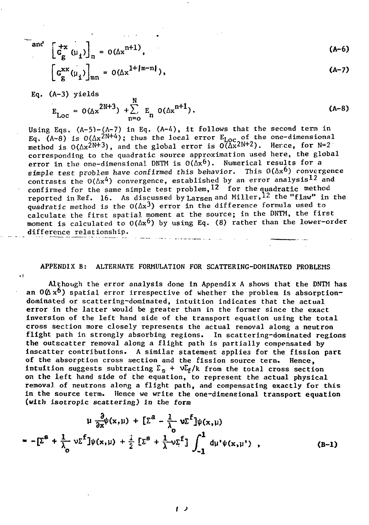$$
\begin{aligned}\n\left[\begin{array}{c} +x \\ G_g & (\mu_1) \end{array}\right]_n &= o(\Delta x^{n+1}), \\
\left[\begin{array}{c} G_g^{xx}(\mu_1) \end{array}\right]_{mn} &= o(\Delta x^{1+{m-n}t}),\n\end{aligned} \tag{A-6}
$$

Eq. (A-3) yields  
\n
$$
E_{\text{Loc}} = O(\Delta x^{2N+3}) + \sum_{n=0}^{N} E_n O(\Delta x^{n+1}).
$$
\n(A-8)

Using Eqs.  $(A-5)-(A-7)$  in Eq.  $(A-4)$ , it follows that the second term in Using Eqs.  $(A-5)-(A-7)$  in Eq.  $(A-4)$ , it follows that the second term in Eq. (A-8) is  $O(\Delta x^{2N+4})$ ; thus the local error  $E_{LOC}$  of the one-dimensional method is  $O(\Delta x^{2N+3})$ , and the global error is  $O(\Delta x^{2N+2})$ . Herce, for  $N=2$ corresponding to the quadratic source approximation used here, the global error in the one-dimensional DNTM is  $O(\Delta x^6)$ . Numerical results for a simple test problem have confirmed this behavior. This  $O(\Delta x^6)$  convergence contrasts the  $O(\Delta x^4)$  convergence, established by an error analysis<sup>12</sup> and confirmed for the same simple test problem,12 for the quadratic method reported in Ref. 16. As discussed by Larsen and Miller,  $^{12}$  the "flaw" in the quadratic method is the  $O(\Delta x^3)$  error in the difference formula used to calculate the first spatial moment at the source; in the DNTM, the first moment is calculated to  $O(\Delta x^6)$  by using Eq. (8) rather than the lower-order difference relationship.

# APPENDIX B: ALTERNATE FORMULATION FOR SCATTERING-DOMINATED PROBLEMS

v.

Although the error analysis done in Appendix A shows that the DNTM has an  $0$ ( $\Delta x^6$ ) spatial error irrespective of whether the problem is absorptiondominated or scattering-dominated, intuition indicates that the actual error in the latter would be greater than in the former since the exact inversion of the left hand side of the transport equation using the total cross section more closely represents the actual removal along a neutron flight path in strongly absorbing regions. In scattering-dominated regions the outscatter removal along a flight path is partially compensated by inscatter contributions. A similar statement applies for the fission part of the absorption cross section and the fission source term. Hence, intuition suggests subtracting  $\sum_{s}$  +  $\nu \Sigma_{f}/k$  from the total cross section on the left hand side of the equation, to represent the actual physical removal of neutrons along a flight path, and compensating exactly for this In the source term. Hence we write the one-dimensional transport equation (with isotropic scattering) in the form

$$
\mu \frac{\partial}{\partial x} \psi(x,\mu) + \left[ \Sigma^{a} - \frac{1}{\lambda_{0}} \nu \Sigma^{f} \right] \psi(x,\mu)
$$
  
=  $-\left[ \Sigma^{a} + \frac{1}{\lambda_{0}} \nu \Sigma^{f} \right] \psi(x,\mu) + \frac{\lambda}{2} \left[ \Sigma^{a} + \frac{1}{\lambda} \nu \Sigma^{f} \right] \int_{-1}^{1} d\mu' \psi(x,\mu')$ , (B-1)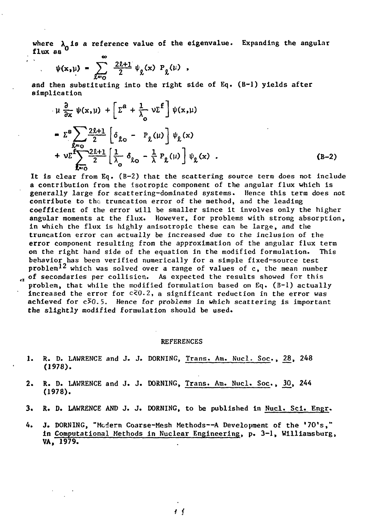where  $\lambda_0$  is a reference value of the eigenvalue. Expanding the angular **flux as °** ക

$$
\psi(x,\mu) = \sum_{\ell \equiv 0} \frac{2\ell+1}{2} \psi_{\ell}(x) P_{\ell}(\mu) ,
$$

 $\epsilon$ 

and then substituting into the right side of Eq.  $(B-1)$  yields after simplication

$$
\mu \frac{\partial}{\partial x} \psi(x,\mu) + \left[\Sigma^{a} + \frac{1}{\lambda_{o}} \nu \Sigma^{f}\right] \psi(x,\mu)
$$
  
\n
$$
= \Sigma^{8} \sum_{\ell=0}^{2\ell+1} \frac{2\ell+1}{2} \left[\delta_{\ell{o}} - P_{\ell}(\mu)\right] \psi_{\ell}(x)
$$
  
\n
$$
+ \nu \Sigma \sum_{\ell=0}^{f} \frac{2\ell+1}{2} \left[\frac{1}{\lambda_{o}} \delta_{\ell{o}} - \frac{1}{\lambda} P_{\ell}(\mu)\right] \psi_{\ell}(x) .
$$
 (B-2)

It is clear from Eq. (B-2) that the scattering source term does not include a contribution from the isotropic component of the angular flux which is generally large for scattering-dominated systems. Hence this term does not contribute to the truncation error of the method, and the leading coefficient of the error will be smaller since it involves only the higher angular moments at the flux. However, for problems with strong absorption, in which the flux is highly anisotropic these can be large, and the truncation error can actually be increased due to the inclusion of the error component resulting from the approximation of the angular flux term on the right hand side of the equation in the modified formulation. This behavior has been verified numerically for a simple fixed-source test problem<sup>12</sup> which was solved over a range of values of c, the mean number of secondaries per collision. As expected the results showed for this problem, that while the modified formulation based on Eq. (B-l) actually increased the error for  $c<sup>2</sup>0.2$ , a significant reduction in the error was achieved for  $c \geq 0.5$ . Hence for problems in which scattering is important the slightly modified formulation should be used.

## REFERENCES

- 1. R. D. LAWRENCE and J. J. DORNING, Trans. Am. Nucl. Soc., 28, 248 (1978).
- 2. R. D. LAWRENCE and J. J. DORNING, Trans. Am. Nucl. Soc., 30, 244 (1978).
- 3. R. D. LAWRENCE. AND J. J. DORNING, to be published in Nucl. Sci. Engr.
- 4. J. DORNING, "Modern Coarse-Mesh Methods--A Development of the '70's," in Computational Methods in Nuclear Engineering, p. 3-1, Williaasburg, VA, 1979.